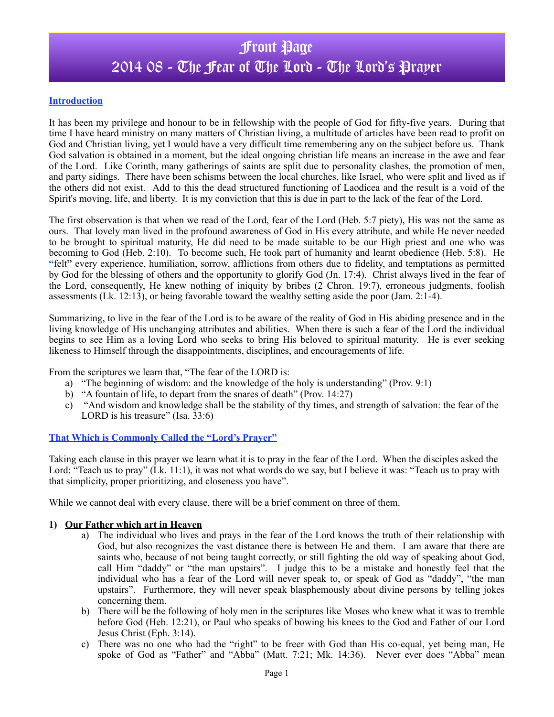# Front Page 2014 08 - The Fear of The Lord - The Lord's Prayer

#### **Introduction**

It has been my privilege and honour to be in fellowship with the people of God for fifty-five years. During that time I have heard ministry on many matters of Christian living, a multitude of articles have been read to profit on God and Christian living, yet I would have a very difficult time remembering any on the subject before us. Thank God salvation is obtained in a moment, but the ideal ongoing christian life means an increase in the awe and fear of the Lord. Like Corinth, many gatherings of saints are split due to personality clashes, the promotion of men, and party sidings. There have been schisms between the local churches, like Israel, who were split and lived as if the others did not exist. Add to this the dead structured functioning of Laodicea and the result is a void of the Spirit's moving, life, and liberty. It is my conviction that this is due in part to the lack of the fear of the Lord.

The first observation is that when we read of the Lord, fear of the Lord (Heb. 5:7 piety), His was not the same as ours. That lovely man lived in the profound awareness of God in His every attribute, and while He never needed to be brought to spiritual maturity, He did need to be made suitable to be our High priest and one who was becoming to God (Heb. 2:10). To become such, He took part of humanity and learnt obedience (Heb. 5:8). He **"**felt**"** every experience, humiliation, sorrow, afflictions from others due to fidelity, and temptations as permitted by God for the blessing of others and the opportunity to glorify God (Jn. 17:4). Christ always lived in the fear of the Lord, consequently, He knew nothing of iniquity by bribes (2 Chron. 19:7), erroneous judgments, foolish assessments (Lk. 12:13), or being favorable toward the wealthy setting aside the poor (Jam. 2:1-4).

Summarizing, to live in the fear of the Lord is to be aware of the reality of God in His abiding presence and in the living knowledge of His unchanging attributes and abilities. When there is such a fear of the Lord the individual begins to see Him as a loving Lord who seeks to bring His beloved to spiritual maturity. He is ever seeking likeness to Himself through the disappointments, disciplines, and encouragements of life.

From the scriptures we learn that, "The fear of the LORD is:

- a) "The beginning of wisdom: and the knowledge of the holy is understanding" (Prov. 9:1)
- b) "A fountain of life, to depart from the snares of death" (Prov. 14:27)
- c) "And wisdom and knowledge shall be the stability of thy times, and strength of salvation: the fear of the LORD is his treasure" (Isa. 33:6)

#### **That Which is Commonly Called the "Lord's Prayer"**

Taking each clause in this prayer we learn what it is to pray in the fear of the Lord. When the disciples asked the Lord: "Teach us to pray" (Lk. 11:1), it was not what words do we say, but I believe it was: "Teach us to pray with that simplicity, proper prioritizing, and closeness you have".

While we cannot deal with every clause, there will be a brief comment on three of them.

#### **1) Our Father which art in Heaven**

- a) The individual who lives and prays in the fear of the Lord knows the truth of their relationship with God, but also recognizes the vast distance there is between He and them. I am aware that there are saints who, because of not being taught correctly, or still fighting the old way of speaking about God, call Him "daddy" or "the man upstairs". I judge this to be a mistake and honestly feel that the individual who has a fear of the Lord will never speak to, or speak of God as "daddy", "the man upstairs". Furthermore, they will never speak blasphemously about divine persons by telling jokes concerning them.
- b) There will be the following of holy men in the scriptures like Moses who knew what it was to tremble before God (Heb. 12:21), or Paul who speaks of bowing his knees to the God and Father of our Lord Jesus Christ (Eph. 3:14).
- c) There was no one who had the "right" to be freer with God than His co-equal, yet being man, He spoke of God as "Father" and "Abba" (Matt. 7:21; Mk. 14:36). Never ever does "Abba" mean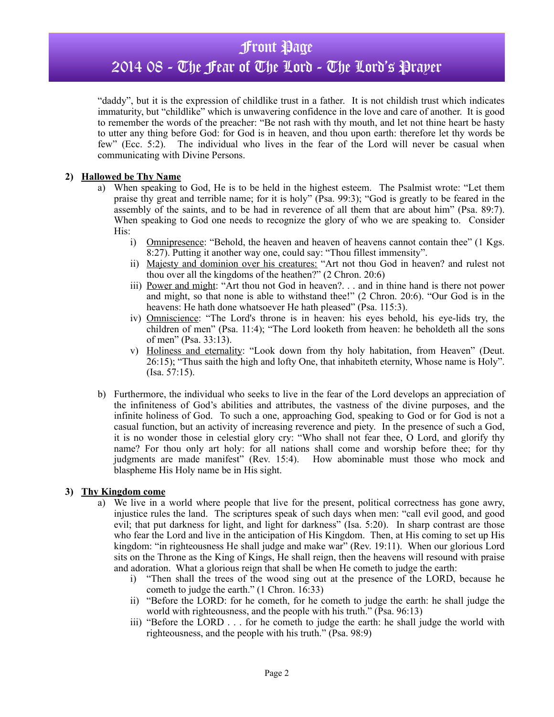## Front Page

## 2014 08 - The Fear of The Lord - The Lord's Prayer

"daddy", but it is the expression of childlike trust in a father. It is not childish trust which indicates immaturity, but "childlike" which is unwavering confidence in the love and care of another. It is good to remember the words of the preacher: "Be not rash with thy mouth, and let not thine heart be hasty to utter any thing before God: for God is in heaven, and thou upon earth: therefore let thy words be few" (Ecc. 5:2). The individual who lives in the fear of the Lord will never be casual when communicating with Divine Persons.

### **2) Hallowed be Thy Name**

- a) When speaking to God, He is to be held in the highest esteem. The Psalmist wrote: "Let them praise thy great and terrible name; for it is holy" (Psa. 99:3); "God is greatly to be feared in the assembly of the saints, and to be had in reverence of all them that are about him" (Psa. 89:7). When speaking to God one needs to recognize the glory of who we are speaking to. Consider His:
	- i) Omnipresence: "Behold, the heaven and heaven of heavens cannot contain thee" (1 Kgs. 8:27). Putting it another way one, could say: "Thou fillest immensity".
	- ii) Majesty and dominion over his creatures: "Art not thou God in heaven? and rulest not thou over all the kingdoms of the heathen?" (2 Chron. 20:6)
	- iii) Power and might: "Art thou not God in heaven?. . . and in thine hand is there not power and might, so that none is able to withstand thee!" (2 Chron. 20:6). "Our God is in the heavens: He hath done whatsoever He hath pleased" (Psa. 115:3).
	- iv) Omniscience: "The Lord's throne is in heaven: his eyes behold, his eye-lids try, the children of men" (Psa. 11:4); "The Lord looketh from heaven: he beholdeth all the sons of men" (Psa. 33:13).
	- v) Holiness and eternality: "Look down from thy holy habitation, from Heaven" (Deut. 26:15); "Thus saith the high and lofty One, that inhabiteth eternity, Whose name is Holy". (Isa. 57:15).
- b) Furthermore, the individual who seeks to live in the fear of the Lord develops an appreciation of the infiniteness of God's abilities and attributes, the vastness of the divine purposes, and the infinite holiness of God. To such a one, approaching God, speaking to God or for God is not a casual function, but an activity of increasing reverence and piety. In the presence of such a God, it is no wonder those in celestial glory cry: "Who shall not fear thee, O Lord, and glorify thy name? For thou only art holy: for all nations shall come and worship before thee; for thy judgments are made manifest" (Rev. 15:4). How abominable must those who mock and blaspheme His Holy name be in His sight.

#### **3) Thy Kingdom come**

- a) We live in a world where people that live for the present, political correctness has gone awry, injustice rules the land. The scriptures speak of such days when men: "call evil good, and good evil; that put darkness for light, and light for darkness" (Isa. 5:20). In sharp contrast are those who fear the Lord and live in the anticipation of His Kingdom. Then, at His coming to set up His kingdom: "in righteousness He shall judge and make war" (Rev. 19:11). When our glorious Lord sits on the Throne as the King of Kings, He shall reign, then the heavens will resound with praise and adoration. What a glorious reign that shall be when He cometh to judge the earth:
	- i) "Then shall the trees of the wood sing out at the presence of the LORD, because he cometh to judge the earth." (1 Chron. 16:33)
	- ii) "Before the LORD: for he cometh, for he cometh to judge the earth: he shall judge the world with righteousness, and the people with his truth." (Psa. 96:13)
	- iii) "Before the LORD . . . for he cometh to judge the earth: he shall judge the world with righteousness, and the people with his truth." (Psa. 98:9)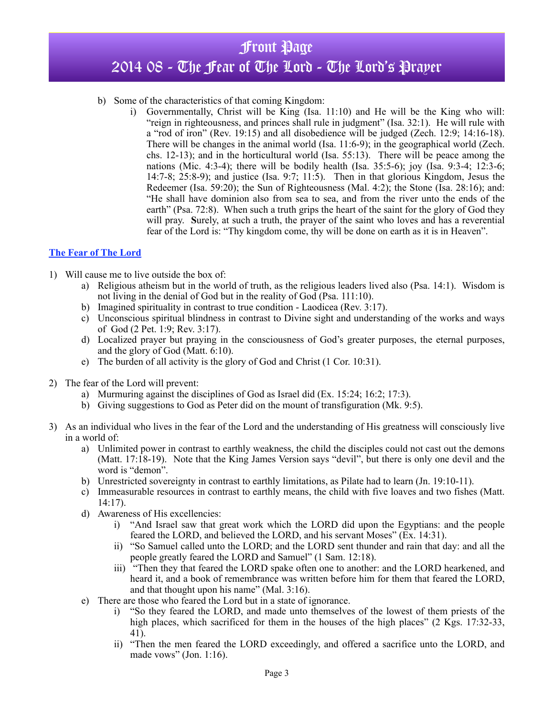# Front Page 2014 08 - The Fear of The Lord - The Lord's Prayer

#### b) Some of the characteristics of that coming Kingdom:

i) Governmentally, Christ will be King (Isa. 11:10) and He will be the King who will: "reign in righteousness, and princes shall rule in judgment" (Isa. 32:1). He will rule with a "rod of iron" (Rev. 19:15) and all disobedience will be judged (Zech. 12:9; 14:16-18). There will be changes in the animal world (Isa. 11:6-9); in the geographical world (Zech. chs. 12-13); and in the horticultural world (Isa. 55:13). There will be peace among the nations (Mic. 4:3-4); there will be bodily health (Isa. 35:5-6); joy (Isa. 9:3-4; 12:3-6; 14:7-8; 25:8-9); and justice (Isa. 9:7; 11:5). Then in that glorious Kingdom, Jesus the Redeemer (Isa. 59:20); the Sun of Righteousness (Mal. 4:2); the Stone (Isa. 28:16); and: "He shall have dominion also from sea to sea, and from the river unto the ends of the earth" (Psa. 72:8). When such a truth grips the heart of the saint for the glory of God they will pray. **S**urely, at such a truth, the prayer of the saint who loves and has a reverential fear of the Lord is: "Thy kingdom come, thy will be done on earth as it is in Heaven".

### **The Fear of The Lord**

- 1) Will cause me to live outside the box of:
	- a) Religious atheism but in the world of truth, as the religious leaders lived also (Psa. 14:1). Wisdom is not living in the denial of God but in the reality of God (Psa. 111:10).
	- b) Imagined spirituality in contrast to true condition Laodicea (Rev. 3:17).
	- c) Unconscious spiritual blindness in contrast to Divine sight and understanding of the works and ways of God (2 Pet. 1:9; Rev. 3:17).
	- d) Localized prayer but praying in the consciousness of God's greater purposes, the eternal purposes, and the glory of God (Matt. 6:10).
	- e) The burden of all activity is the glory of God and Christ (1 Cor. 10:31).
- 2) The fear of the Lord will prevent:
	- a) Murmuring against the disciplines of God as Israel did (Ex. 15:24; 16:2; 17:3).
	- b) Giving suggestions to God as Peter did on the mount of transfiguration (Mk. 9:5).
- 3) As an individual who lives in the fear of the Lord and the understanding of His greatness will consciously live in a world of:
	- a) Unlimited power in contrast to earthly weakness, the child the disciples could not cast out the demons (Matt. 17:18-19). Note that the King James Version says "devil", but there is only one devil and the word is "demon".
	- b) Unrestricted sovereignty in contrast to earthly limitations, as Pilate had to learn (Jn. 19:10-11).
	- c) Immeasurable resources in contrast to earthly means, the child with five loaves and two fishes (Matt. 14:17).
	- d) Awareness of His excellencies:
		- i) "And Israel saw that great work which the LORD did upon the Egyptians: and the people feared the LORD, and believed the LORD, and his servant Moses" (Ex. 14:31).
		- ii) "So Samuel called unto the LORD; and the LORD sent thunder and rain that day: and all the people greatly feared the LORD and Samuel" (1 Sam. 12:18).
		- iii) "Then they that feared the LORD spake often one to another: and the LORD hearkened, and heard it, and a book of remembrance was written before him for them that feared the LORD, and that thought upon his name" (Mal. 3:16).
	- e) There are those who feared the Lord but in a state of ignorance.
		- i) "So they feared the LORD, and made unto themselves of the lowest of them priests of the high places, which sacrificed for them in the houses of the high places" (2 Kgs. 17:32-33, 41).
		- ii) "Then the men feared the LORD exceedingly, and offered a sacrifice unto the LORD, and made vows" (Jon. 1:16).